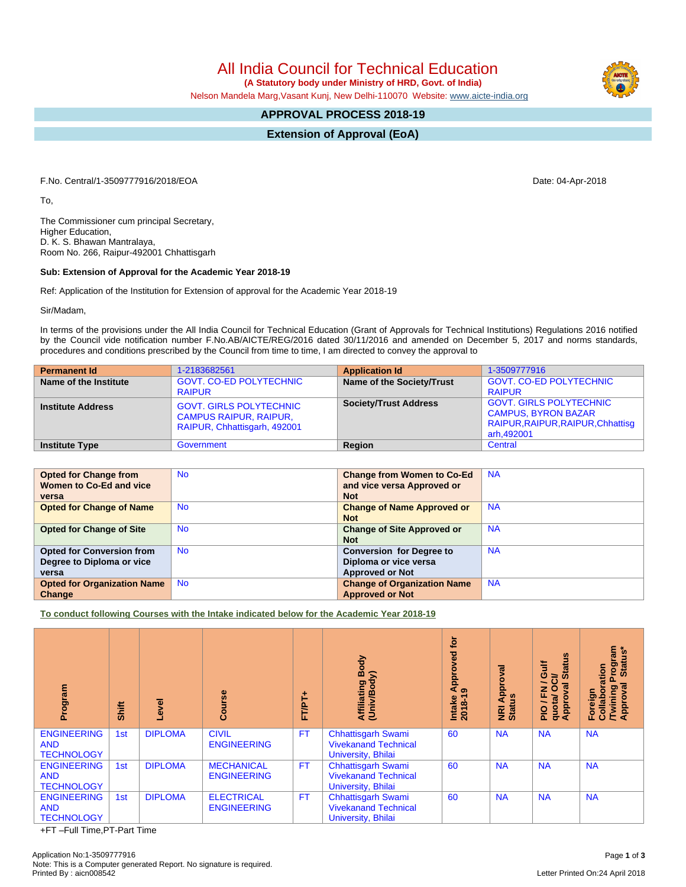All India Council for Technical Education

 **(A Statutory body under Ministry of HRD, Govt. of India)**

Nelson Mandela Marg,Vasant Kunj, New Delhi-110070 Website: [www.aicte-india.org](http://www.aicte-india.org)

## **APPROVAL PROCESS 2018-19**

**Extension of Approval (EoA)**

F.No. Central/1-3509777916/2018/EOA Date: 04-Apr-2018

To,

The Commissioner cum principal Secretary, Higher Education, D. K. S. Bhawan Mantralaya, Room No. 266, Raipur-492001 Chhattisgarh

## **Sub: Extension of Approval for the Academic Year 2018-19**

Ref: Application of the Institution for Extension of approval for the Academic Year 2018-19

Sir/Madam,

In terms of the provisions under the All India Council for Technical Education (Grant of Approvals for Technical Institutions) Regulations 2016 notified by the Council vide notification number F.No.AB/AICTE/REG/2016 dated 30/11/2016 and amended on December 5, 2017 and norms standards, procedures and conditions prescribed by the Council from time to time, I am directed to convey the approval to

| <b>Permanent Id</b>      | 1-2183682561                                                                                    | <b>Application Id</b>        | 1-3509777916                                                                                                    |
|--------------------------|-------------------------------------------------------------------------------------------------|------------------------------|-----------------------------------------------------------------------------------------------------------------|
| Name of the Institute    | <b>GOVT, CO-ED POLYTECHNIC</b><br><b>RAIPUR</b>                                                 | Name of the Society/Trust    | <b>GOVT, CO-ED POLYTECHNIC</b><br><b>RAIPUR</b>                                                                 |
| <b>Institute Address</b> | <b>GOVT. GIRLS POLYTECHNIC</b><br><b>CAMPUS RAIPUR, RAIPUR,</b><br>RAIPUR, Chhattisgarh, 492001 | <b>Society/Trust Address</b> | <b>GOVT. GIRLS POLYTECHNIC</b><br><b>CAMPUS, BYRON BAZAR</b><br>RAIPUR, RAIPUR, RAIPUR, Chhattisg<br>arh,492001 |
| <b>Institute Type</b>    | Government                                                                                      | Region                       | Central                                                                                                         |

| <b>Opted for Change from</b>       | <b>No</b> | <b>Change from Women to Co-Ed</b>  | <b>NA</b> |
|------------------------------------|-----------|------------------------------------|-----------|
| Women to Co-Ed and vice            |           | and vice versa Approved or         |           |
| versa                              |           | <b>Not</b>                         |           |
| <b>Opted for Change of Name</b>    | <b>No</b> | <b>Change of Name Approved or</b>  | <b>NA</b> |
|                                    |           | <b>Not</b>                         |           |
| <b>Opted for Change of Site</b>    | <b>No</b> | <b>Change of Site Approved or</b>  | <b>NA</b> |
|                                    |           | <b>Not</b>                         |           |
| <b>Opted for Conversion from</b>   | <b>No</b> | <b>Conversion for Degree to</b>    | <b>NA</b> |
| Degree to Diploma or vice          |           | Diploma or vice versa              |           |
| versa                              |           | <b>Approved or Not</b>             |           |
| <b>Opted for Organization Name</b> | <b>No</b> | <b>Change of Organization Name</b> | <b>NA</b> |
| Change                             |           | <b>Approved or Not</b>             |           |

**To conduct following Courses with the Intake indicated below for the Academic Year 2018-19**

| Program                                               | Shift | Level          | rse<br>යි                               | 广<br>FT/PT+ | Body<br><b>Affiliating Boot</b><br>(Univ/Body)                                 | <b>b</b><br>ved<br>Approv<br>9<br>$2018 - 1$<br>Intake | Approval<br><b>NRI Ap</b><br>Status | <b>Status</b><br>₹<br>ပ<br>ট<br>g<br>o<br>준<br>quota/<br>Approv<br><b>DId</b> | <b>rogram</b><br>Status*<br>Collaboration<br>Δ<br>त<br><b>Pai</b><br>ඝ<br>/Twinir<br>Approv<br>Foreig |
|-------------------------------------------------------|-------|----------------|-----------------------------------------|-------------|--------------------------------------------------------------------------------|--------------------------------------------------------|-------------------------------------|-------------------------------------------------------------------------------|-------------------------------------------------------------------------------------------------------|
| <b>ENGINEERING</b><br><b>AND</b><br><b>TECHNOLOGY</b> | 1st   | <b>DIPLOMA</b> | <b>CIVIL</b><br><b>ENGINEERING</b>      | <b>FT</b>   | <b>Chhattisgarh Swami</b><br><b>Vivekanand Technical</b><br>University, Bhilai | 60                                                     | <b>NA</b>                           | <b>NA</b>                                                                     | <b>NA</b>                                                                                             |
| <b>ENGINEERING</b><br><b>AND</b><br><b>TECHNOLOGY</b> | 1st   | <b>DIPLOMA</b> | <b>MECHANICAL</b><br><b>ENGINEERING</b> | <b>FT</b>   | <b>Chhattisgarh Swami</b><br><b>Vivekanand Technical</b><br>University, Bhilai | 60                                                     | <b>NA</b>                           | <b>NA</b>                                                                     | <b>NA</b>                                                                                             |
| <b>ENGINEERING</b><br><b>AND</b><br><b>TECHNOLOGY</b> | 1st   | <b>DIPLOMA</b> | <b>ELECTRICAL</b><br><b>ENGINEERING</b> | <b>FT</b>   | <b>Chhattisgarh Swami</b><br><b>Vivekanand Technical</b><br>University, Bhilai | 60                                                     | <b>NA</b>                           | <b>NA</b>                                                                     | <b>NA</b>                                                                                             |

+FT –Full Time,PT-Part Time

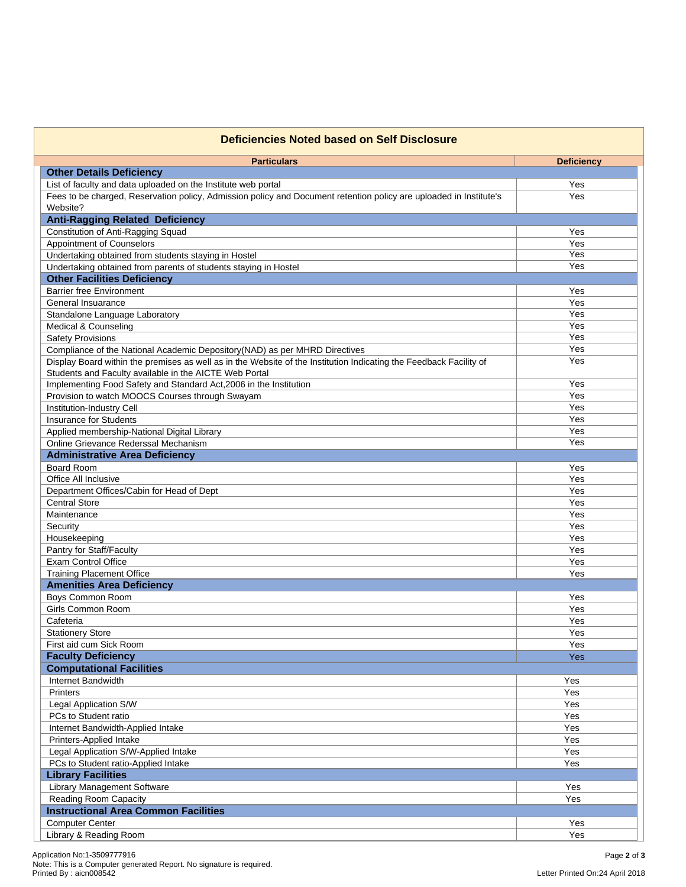| <b>Deficiencies Noted based on Self Disclosure</b>                                                                 |                   |  |  |  |
|--------------------------------------------------------------------------------------------------------------------|-------------------|--|--|--|
| <b>Particulars</b>                                                                                                 | <b>Deficiency</b> |  |  |  |
| <b>Other Details Deficiency</b>                                                                                    |                   |  |  |  |
| List of faculty and data uploaded on the Institute web portal                                                      | Yes               |  |  |  |
| Fees to be charged, Reservation policy, Admission policy and Document retention policy are uploaded in Institute's | Yes               |  |  |  |
| Website?                                                                                                           |                   |  |  |  |
| <b>Anti-Ragging Related Deficiency</b>                                                                             |                   |  |  |  |
| Constitution of Anti-Ragging Squad                                                                                 | Yes               |  |  |  |
| Appointment of Counselors                                                                                          | Yes               |  |  |  |
| Undertaking obtained from students staying in Hostel                                                               | Yes               |  |  |  |
| Undertaking obtained from parents of students staying in Hostel                                                    | Yes               |  |  |  |
| <b>Other Facilities Deficiency</b>                                                                                 |                   |  |  |  |
| <b>Barrier free Environment</b>                                                                                    | Yes               |  |  |  |
| General Insuarance                                                                                                 | Yes               |  |  |  |
| Standalone Language Laboratory                                                                                     | Yes               |  |  |  |
| Medical & Counseling                                                                                               | Yes               |  |  |  |
| <b>Safety Provisions</b>                                                                                           | Yes               |  |  |  |
| Compliance of the National Academic Depository(NAD) as per MHRD Directives                                         | Yes               |  |  |  |
| Display Board within the premises as well as in the Website of the Institution Indicating the Feedback Facility of | Yes               |  |  |  |
| Students and Faculty available in the AICTE Web Portal                                                             |                   |  |  |  |
| Implementing Food Safety and Standard Act, 2006 in the Institution                                                 | Yes               |  |  |  |
| Provision to watch MOOCS Courses through Swayam                                                                    | Yes               |  |  |  |
| Institution-Industry Cell                                                                                          | Yes               |  |  |  |
| <b>Insurance for Students</b>                                                                                      | Yes               |  |  |  |
| Applied membership-National Digital Library                                                                        | Yes               |  |  |  |
| Online Grievance Rederssal Mechanism                                                                               | Yes               |  |  |  |
| <b>Administrative Area Deficiency</b>                                                                              |                   |  |  |  |
| <b>Board Room</b>                                                                                                  | Yes               |  |  |  |
| Office All Inclusive                                                                                               | Yes               |  |  |  |
| Department Offices/Cabin for Head of Dept                                                                          | Yes               |  |  |  |
| <b>Central Store</b>                                                                                               | Yes               |  |  |  |
| Maintenance                                                                                                        | Yes               |  |  |  |
| Security                                                                                                           | Yes               |  |  |  |
| Housekeeping                                                                                                       | Yes               |  |  |  |
| Pantry for Staff/Faculty                                                                                           | Yes               |  |  |  |
| Exam Control Office                                                                                                | Yes               |  |  |  |
| <b>Training Placement Office</b>                                                                                   | Yes               |  |  |  |
| <b>Amenities Area Deficiency</b>                                                                                   |                   |  |  |  |
| Boys Common Room                                                                                                   | Yes               |  |  |  |
| Girls Common Room                                                                                                  | Yes               |  |  |  |
| Cafeteria                                                                                                          | Yes               |  |  |  |
| <b>Stationery Store</b>                                                                                            | Yes               |  |  |  |
| First aid cum Sick Room                                                                                            | Yes               |  |  |  |
| <b>Faculty Deficiency</b>                                                                                          | Yes               |  |  |  |
| <b>Computational Facilities</b>                                                                                    |                   |  |  |  |
| Internet Bandwidth                                                                                                 | Yes               |  |  |  |
| Printers                                                                                                           | Yes               |  |  |  |
| Legal Application S/W                                                                                              | Yes               |  |  |  |
| PCs to Student ratio                                                                                               | Yes               |  |  |  |
| Internet Bandwidth-Applied Intake                                                                                  | Yes               |  |  |  |
| Printers-Applied Intake                                                                                            | Yes               |  |  |  |
| Legal Application S/W-Applied Intake                                                                               | Yes               |  |  |  |
| PCs to Student ratio-Applied Intake                                                                                | Yes               |  |  |  |
| <b>Library Facilities</b>                                                                                          |                   |  |  |  |
| Library Management Software                                                                                        | Yes               |  |  |  |
| Reading Room Capacity                                                                                              | Yes               |  |  |  |
| <b>Instructional Area Common Facilities</b>                                                                        |                   |  |  |  |
| <b>Computer Center</b>                                                                                             | Yes               |  |  |  |
| Library & Reading Room                                                                                             | Yes               |  |  |  |